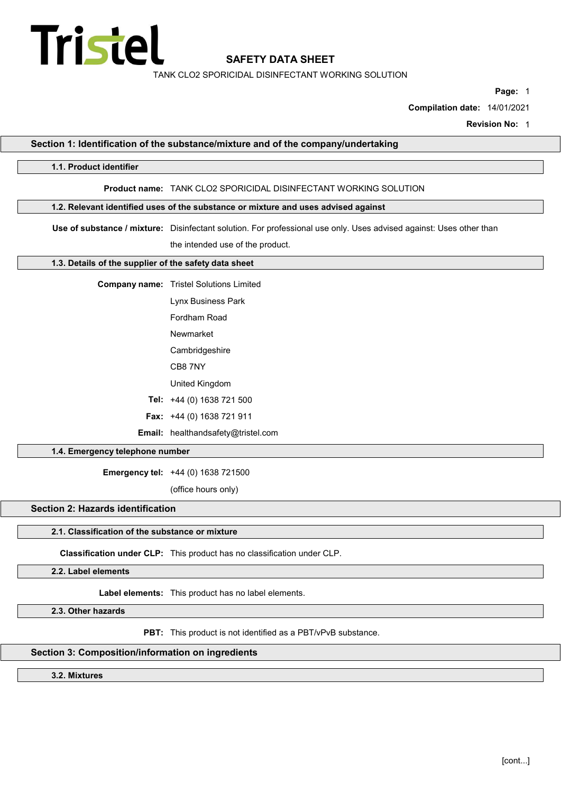

TANK CLO2 SPORICIDAL DISINFECTANT WORKING SOLUTION

Page: 1

Compilation date: 14/01/2021

Revision No: 1

| 1.1. Product identifier                               |                                                                                                                     |
|-------------------------------------------------------|---------------------------------------------------------------------------------------------------------------------|
|                                                       | Product name: TANK CLO2 SPORICIDAL DISINFECTANT WORKING SOLUTION                                                    |
|                                                       | 1.2. Relevant identified uses of the substance or mixture and uses advised against                                  |
|                                                       |                                                                                                                     |
|                                                       | Use of substance / mixture: Disinfectant solution. For professional use only. Uses advised against: Uses other than |
|                                                       | the intended use of the product.                                                                                    |
| 1.3. Details of the supplier of the safety data sheet |                                                                                                                     |
|                                                       | <b>Company name:</b> Tristel Solutions Limited                                                                      |
|                                                       | Lynx Business Park                                                                                                  |
|                                                       | Fordham Road                                                                                                        |
|                                                       | Newmarket                                                                                                           |
|                                                       | Cambridgeshire                                                                                                      |
|                                                       | CB87NY                                                                                                              |
|                                                       | United Kingdom                                                                                                      |
|                                                       | Tel: +44 (0) 1638 721 500                                                                                           |
|                                                       | Fax: +44 (0) 1638 721 911                                                                                           |
|                                                       | Email: healthandsafety@tristel.com                                                                                  |
| 1.4. Emergency telephone number                       |                                                                                                                     |
|                                                       | Emergency tel: +44 (0) 1638 721500                                                                                  |
|                                                       | (office hours only)                                                                                                 |
| <b>Section 2: Hazards identification</b>              |                                                                                                                     |
| 2.1. Classification of the substance or mixture       |                                                                                                                     |
|                                                       | Classification under CLP: This product has no classification under CLP.                                             |
| 2.2. Label elements                                   |                                                                                                                     |
|                                                       | Label elements: This product has no label elements.                                                                 |
| 2.3. Other hazards                                    |                                                                                                                     |
|                                                       | PBT: This product is not identified as a PBT/vPvB substance.                                                        |

3.2. Mixtures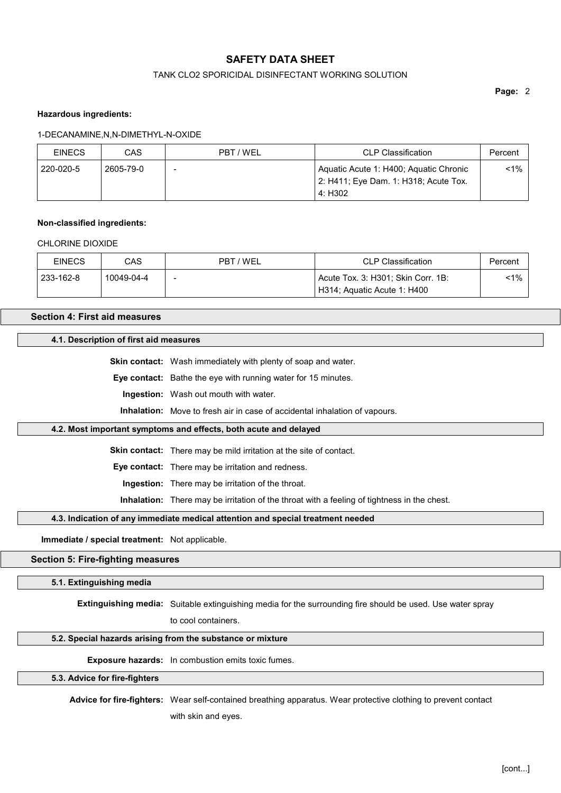## TANK CLO2 SPORICIDAL DISINFECTANT WORKING SOLUTION

Page: 2

### Hazardous ingredients:

#### 1-DECANAMINE,N,N-DIMETHYL-N-OXIDE

| <b>EINECS</b> | CAS       | PBT / WEL | <b>CLP Classification</b>                                                                  | Percent |
|---------------|-----------|-----------|--------------------------------------------------------------------------------------------|---------|
| 220-020-5     | 2605-79-0 |           | Aquatic Acute 1: H400; Aquatic Chronic<br>2: H411; Eye Dam. 1: H318; Acute Tox.<br>4: H302 | <1%     |

# Non-classified ingredients:

#### CHI ORINE DIOXIDE

| <b>EINECS</b> | CAS        | PBT / WEL | <b>CLP Classification</b>          | Percent |
|---------------|------------|-----------|------------------------------------|---------|
| 233-162-8     | 10049-04-4 | -         | Acute Tox. 3: H301; Skin Corr. 1B: | $1\%$   |
|               |            |           | H314; Aquatic Acute 1: H400        |         |

# Section 4: First aid measures

#### 4.1. Description of first aid measures

Skin contact: Wash immediately with plenty of soap and water.

Eye contact: Bathe the eye with running water for 15 minutes.

Ingestion: Wash out mouth with water.

Inhalation: Move to fresh air in case of accidental inhalation of vapours.

## 4.2. Most important symptoms and effects, both acute and delayed

Skin contact: There may be mild irritation at the site of contact.

Eye contact: There may be irritation and redness.

Ingestion: There may be irritation of the throat.

Inhalation: There may be irritation of the throat with a feeling of tightness in the chest.

#### 4.3. Indication of any immediate medical attention and special treatment needed

Immediate / special treatment: Not applicable.

#### Section 5: Fire-fighting measures

#### 5.1. Extinguishing media

Extinguishing media: Suitable extinguishing media for the surrounding fire should be used. Use water spray

to cool containers.

#### 5.2. Special hazards arising from the substance or mixture

Exposure hazards: In combustion emits toxic fumes.

#### 5.3. Advice for fire-fighters

Advice for fire-fighters: Wear self-contained breathing apparatus. Wear protective clothing to prevent contact with skin and eyes.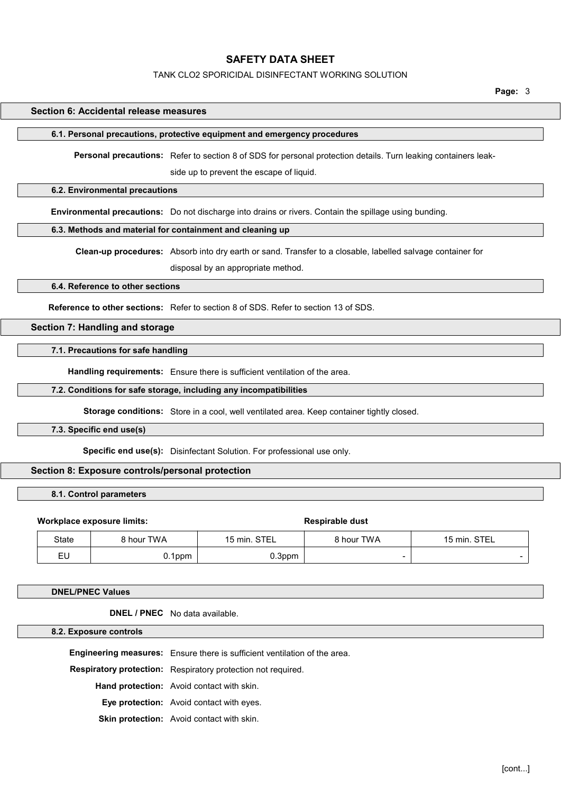#### TANK CLO2 SPORICIDAL DISINFECTANT WORKING SOLUTION

Page: 3

## Section 6: Accidental release measures

#### 6.1. Personal precautions, protective equipment and emergency procedures

Personal precautions: Refer to section 8 of SDS for personal protection details. Turn leaking containers leak-

side up to prevent the escape of liquid.

## 6.2. Environmental precautions

Environmental precautions: Do not discharge into drains or rivers. Contain the spillage using bunding.

#### 6.3. Methods and material for containment and cleaning up

Clean-up procedures: Absorb into dry earth or sand. Transfer to a closable, labelled salvage container for

disposal by an appropriate method.

# 6.4. Reference to other sections

Reference to other sections: Refer to section 8 of SDS. Refer to section 13 of SDS.

# Section 7: Handling and storage

#### 7.1. Precautions for safe handling

Handling requirements: Ensure there is sufficient ventilation of the area.

#### 7.2. Conditions for safe storage, including any incompatibilities

Storage conditions: Store in a cool, well ventilated area. Keep container tightly closed.

# 7.3. Specific end use(s)

Specific end use(s): Disinfectant Solution. For professional use only.

# Section 8: Exposure controls/personal protection

#### 8.1. Control parameters

# Workplace exposure limits:  $\blacksquare$ State 8 hour TWA 15 min. STEL 8 hour TWA 15 min. STEL EU 0.1ppm 0.3ppm - -

DNEL/PNEC Values

## DNEL / PNEC No data available.

8.2. Exposure controls

Engineering measures: Ensure there is sufficient ventilation of the area.

Respiratory protection: Respiratory protection not required.

Hand protection: Avoid contact with skin.

Eye protection: Avoid contact with eyes.

Skin protection: Avoid contact with skin.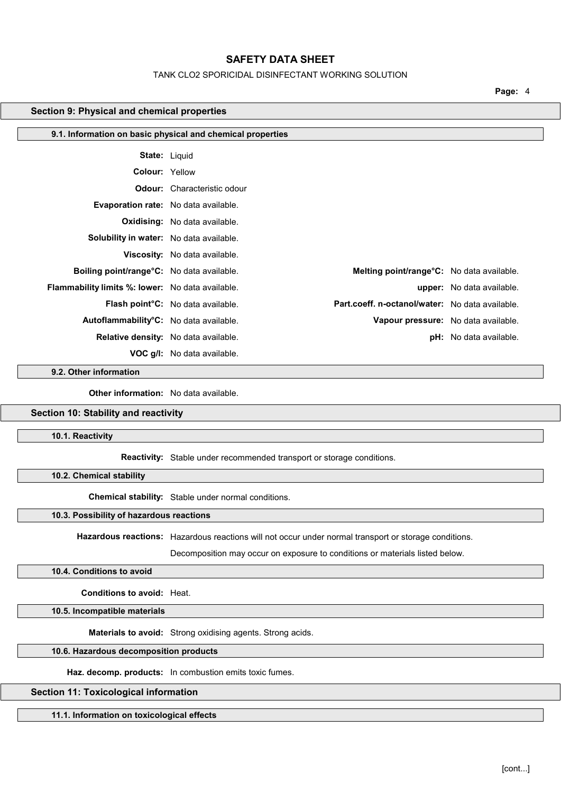#### TANK CLO2 SPORICIDAL DISINFECTANT WORKING SOLUTION

Page: 4

### Section 9: Physical and chemical properties

| 9.1. Information on basic physical and chemical properties |                                                                                      |                                     |
|------------------------------------------------------------|--------------------------------------------------------------------------------------|-------------------------------------|
| <b>State: Liquid</b>                                       |                                                                                      |                                     |
| <b>Colour: Yellow</b>                                      |                                                                                      |                                     |
|                                                            | <b>Odour:</b> Characteristic odour                                                   |                                     |
| <b>Evaporation rate:</b> No data available.                |                                                                                      |                                     |
|                                                            | <b>Oxidising:</b> No data available.                                                 |                                     |
| Solubility in water: No data available.                    |                                                                                      |                                     |
|                                                            | Viscosity: No data available.                                                        |                                     |
| Boiling point/range°C: No data available.                  | Melting point/range°C: No data available.                                            |                                     |
| <b>Flammability limits %: lower:</b> No data available.    |                                                                                      | <b>upper:</b> No data available.    |
|                                                            | Part.coeff. n-octanol/water: No data available.<br>Flash point°C: No data available. |                                     |
| Autoflammability <sup>°</sup> C: No data available.        |                                                                                      | Vapour pressure: No data available. |
|                                                            | <b>Relative density:</b> No data available.                                          | <b>pH:</b> No data available.       |
|                                                            | <b>VOC g/l:</b> No data available.                                                   |                                     |

9.2. Other information

Other information: No data available.

# Section 10: Stability and reactivity

10.1. Reactivity

Reactivity: Stable under recommended transport or storage conditions.

10.2. Chemical stability

Chemical stability: Stable under normal conditions.

# 10.3. Possibility of hazardous reactions

Hazardous reactions: Hazardous reactions will not occur under normal transport or storage conditions.

Decomposition may occur on exposure to conditions or materials listed below.

# 10.4. Conditions to avoid

Conditions to avoid: Heat.

10.5. Incompatible materials

Materials to avoid: Strong oxidising agents. Strong acids.

# 10.6. Hazardous decomposition products

Haz. decomp. products: In combustion emits toxic fumes.

# Section 11: Toxicological information

11.1. Information on toxicological effects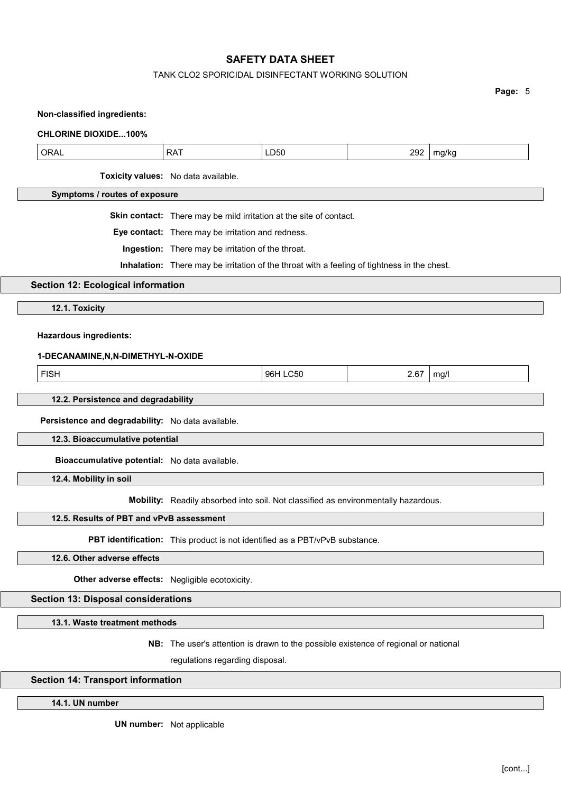#### TANK CLO2 SPORICIDAL DISINFECTANT WORKING SOLUTION

Page: 5

| <b>CHLORINE DIOXIDE100%</b>   |                                                                           |      |     |       |
|-------------------------------|---------------------------------------------------------------------------|------|-----|-------|
| <b>ORAL</b>                   | <b>RAT</b>                                                                | LD50 | 292 | mg/kg |
|                               | Toxicity values: No data available.                                       |      |     |       |
| Symptoms / routes of exposure |                                                                           |      |     |       |
|                               | <b>Skin contact:</b> There may be mild irritation at the site of contact. |      |     |       |
| _________                     |                                                                           |      |     |       |

Eye contact: There may be irritation and redness.

Ingestion: There may be irritation of the throat.

Inhalation: There may be irritation of the throat with a feeling of tightness in the chest.

# Section 12: Ecological information

12.1. Toxicity

## Hazardous ingredients:

Non-classified ingredients:

#### 1-DECANAMINE,N,N-DIMETHYL-N-OXIDE

FISH 96H LC50 2.67 mg/l

# 12.2. Persistence and degradability

Persistence and degradability: No data available.

12.3. Bioaccumulative potential

Bioaccumulative potential: No data available.

12.4. Mobility in soil

Mobility: Readily absorbed into soil. Not classified as environmentally hazardous.

# 12.5. Results of PBT and vPvB assessment

PBT identification: This product is not identified as a PBT/vPvB substance.

#### 12.6. Other adverse effects

Other adverse effects: Negligible ecotoxicity.

# Section 13: Disposal considerations

13.1. Waste treatment methods

NB: The user's attention is drawn to the possible existence of regional or national

regulations regarding disposal.

# Section 14: Transport information

14.1. UN number

UN number: Not applicable